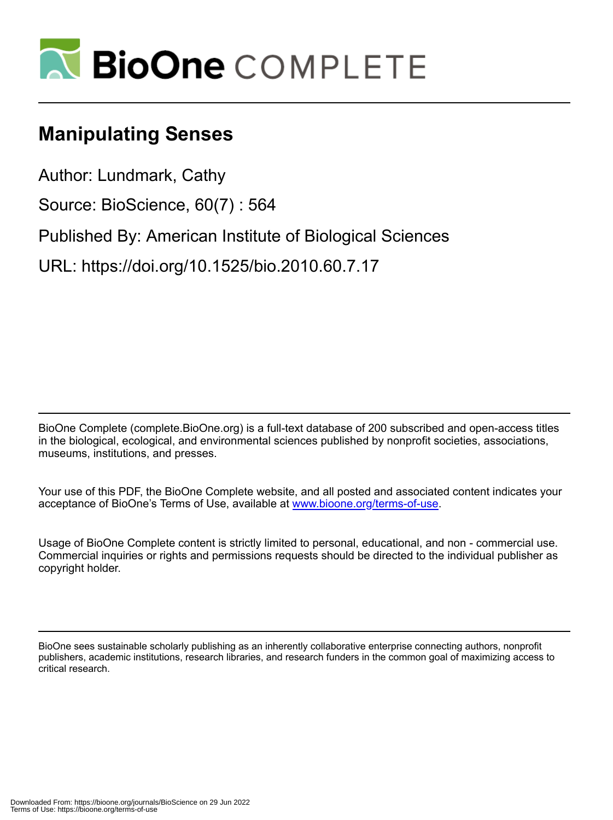

# **Manipulating Senses**

Author: Lundmark, Cathy

Source: BioScience, 60(7) : 564

Published By: American Institute of Biological Sciences

URL: https://doi.org/10.1525/bio.2010.60.7.17

BioOne Complete (complete.BioOne.org) is a full-text database of 200 subscribed and open-access titles in the biological, ecological, and environmental sciences published by nonprofit societies, associations, museums, institutions, and presses.

Your use of this PDF, the BioOne Complete website, and all posted and associated content indicates your acceptance of BioOne's Terms of Use, available at www.bioone.org/terms-of-use.

Usage of BioOne Complete content is strictly limited to personal, educational, and non - commercial use. Commercial inquiries or rights and permissions requests should be directed to the individual publisher as copyright holder.

BioOne sees sustainable scholarly publishing as an inherently collaborative enterprise connecting authors, nonprofit publishers, academic institutions, research libraries, and research funders in the common goal of maximizing access to critical research.